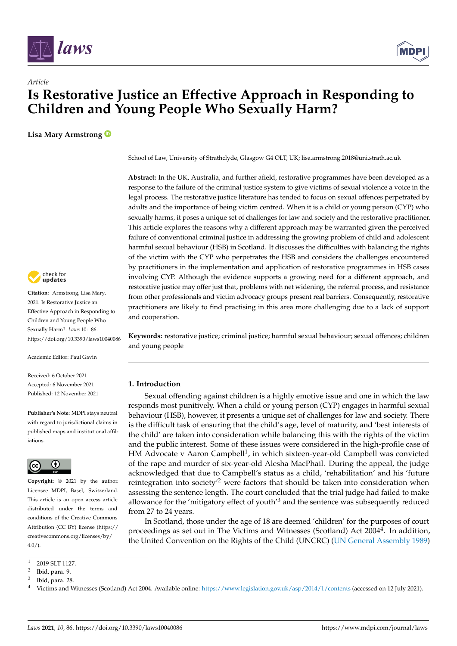



# *Article* **Is Restorative Justice an Effective Approach in Responding to Children and Young People Who Sexually Harm?**

**Lisa Mary Armstrong**



**Citation:** Armstrong, Lisa Mary. 2021. Is Restorative Justice an Effective Approach in Responding to Children and Young People Who Sexually Harm?. *Laws* 10: 86. <https://doi.org/10.3390/laws10040086>

Academic Editor: Paul Gavin

Received: 6 October 2021 Accepted: 6 November 2021 Published: 12 November 2021

**Publisher's Note:** MDPI stays neutral with regard to jurisdictional claims in published maps and institutional affiliations.



**Copyright:** © 2021 by the author. Licensee MDPI, Basel, Switzerland. This article is an open access article distributed under the terms and conditions of the Creative Commons Attribution (CC BY) license (https:/[/](https://creativecommons.org/licenses/by/4.0/) [creativecommons.org/licenses/by/](https://creativecommons.org/licenses/by/4.0/)  $4.0/$ ).

School of Law, University of Strathclyde, Glasgow G4 OLT, UK; lisa.armstrong.2018@uni.strath.ac.uk

**Abstract:** In the UK, Australia, and further afield, restorative programmes have been developed as a response to the failure of the criminal justice system to give victims of sexual violence a voice in the legal process. The restorative justice literature has tended to focus on sexual offences perpetrated by adults and the importance of being victim centred. When it is a child or young person (CYP) who sexually harms, it poses a unique set of challenges for law and society and the restorative practitioner. This article explores the reasons why a different approach may be warranted given the perceived failure of conventional criminal justice in addressing the growing problem of child and adolescent harmful sexual behaviour (HSB) in Scotland. It discusses the difficulties with balancing the rights of the victim with the CYP who perpetrates the HSB and considers the challenges encountered by practitioners in the implementation and application of restorative programmes in HSB cases involving CYP. Although the evidence supports a growing need for a different approach, and restorative justice may offer just that, problems with net widening, the referral process, and resistance from other professionals and victim advocacy groups present real barriers. Consequently, restorative practitioners are likely to find practising in this area more challenging due to a lack of support and cooperation.

**Keywords:** restorative justice; criminal justice; harmful sexual behaviour; sexual offences; children and young people

# **1. Introduction**

Sexual offending against children is a highly emotive issue and one in which the law responds most punitively. When a child or young person (CYP) engages in harmful sexual behaviour (HSB), however, it presents a unique set of challenges for law and society. There is the difficult task of ensuring that the child's age, level of maturity, and 'best interests of the child' are taken into consideration while balancing this with the rights of the victim and the public interest. Some of these issues were considered in the high-profile case of HM Advocate v Aaron Campbell<sup>1</sup>, in which sixteen-year-old Campbell was convicted of the rape and murder of six-year-old Alesha MacPhail. During the appeal, the judge acknowledged that due to Campbell's status as a child, 'rehabilitation' and his 'future reintegration into society<sup> $2$ </sup> were factors that should be taken into consideration when assessing the sentence length. The court concluded that the trial judge had failed to make allowance for the 'mitigatory effect of youth' $3$  and the sentence was subsequently reduced from 27 to 24 years.

In Scotland, those under the age of 18 are deemed 'children' for the purposes of court proceedings as set out in The Victims and Witnesses (Scotland) Act 2004<sup>4</sup>. In addition, the United Convention on the Rights of the Child (UNCRC) [\(UN General Assembly](#page-8-0) [1989\)](#page-8-0)

<sup>1</sup> 2019 SLT 1127.

<sup>2</sup> Ibid, para. 9.

<sup>3</sup> Ibid, para. 28.

<sup>4</sup> Victims and Witnesses (Scotland) Act 2004. Available online: <https://www.legislation.gov.uk/asp/2014/1/contents> (accessed on 12 July 2021).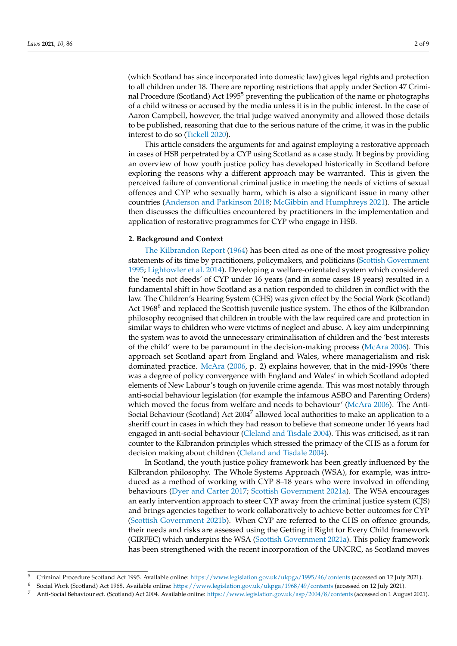(which Scotland has since incorporated into domestic law) gives legal rights and protection to all children under 18. There are reporting restrictions that apply under Section 47 Criminal Procedure (Scotland) Act  $1995<sup>5</sup>$  preventing the publication of the name or photographs of a child witness or accused by the media unless it is in the public interest. In the case of Aaron Campbell, however, the trial judge waived anonymity and allowed those details to be published, reasoning that due to the serious nature of the crime, it was in the public interest to do so [\(Tickell](#page-8-1) [2020\)](#page-8-1).

This article considers the arguments for and against employing a restorative approach in cases of HSB perpetrated by a CYP using Scotland as a case study. It begins by providing an overview of how youth justice policy has developed historically in Scotland before exploring the reasons why a different approach may be warranted. This is given the perceived failure of conventional criminal justice in meeting the needs of victims of sexual offences and CYP who sexually harm, which is also a significant issue in many other countries [\(Anderson and Parkinson](#page-6-0) [2018;](#page-6-0) [McGibbin and Humphreys](#page-7-0) [2021\)](#page-7-0). The article then discusses the difficulties encountered by practitioners in the implementation and application of restorative programmes for CYP who engage in HSB.

### **2. Background and Context**

[The Kilbrandon Report](#page-7-1) [\(1964\)](#page-7-1) has been cited as one of the most progressive policy statements of its time by practitioners, policymakers, and politicians [\(Scottish Government](#page-8-2) [1995;](#page-8-2) [Lightowler et al.](#page-7-2) [2014\)](#page-7-2). Developing a welfare-orientated system which considered the 'needs not deeds' of CYP under 16 years (and in some cases 18 years) resulted in a fundamental shift in how Scotland as a nation responded to children in conflict with the law. The Children's Hearing System (CHS) was given effect by the Social Work (Scotland) Act 1968<sup>6</sup> and replaced the Scottish juvenile justice system. The ethos of the Kilbrandon philosophy recognised that children in trouble with the law required care and protection in similar ways to children who were victims of neglect and abuse. A key aim underpinning the system was to avoid the unnecessary criminalisation of children and the 'best interests of the child' were to be paramount in the decision-making process [\(McAra](#page-7-3) [2006\)](#page-7-3). This approach set Scotland apart from England and Wales, where managerialism and risk dominated practice. [McAra](#page-7-3) [\(2006,](#page-7-3) p. 2) explains however, that in the mid-1990s 'there was a degree of policy convergence with England and Wales' in which Scotland adopted elements of New Labour's tough on juvenile crime agenda. This was most notably through anti-social behaviour legislation (for example the infamous ASBO and Parenting Orders) which moved the focus from welfare and needs to behaviour' [\(McAra](#page-7-3) [2006\)](#page-7-3). The Anti-Social Behaviour (Scotland) Act 2004<sup>7</sup> allowed local authorities to make an application to a sheriff court in cases in which they had reason to believe that someone under 16 years had engaged in anti-social behaviour [\(Cleland and Tisdale](#page-7-4) [2004\)](#page-7-4). This was criticised, as it ran counter to the Kilbrandon principles which stressed the primacy of the CHS as a forum for decision making about children [\(Cleland and Tisdale](#page-7-4) [2004\)](#page-7-4).

In Scotland, the youth justice policy framework has been greatly influenced by the Kilbrandon philosophy. The Whole Systems Approach (WSA), for example, was introduced as a method of working with CYP 8–18 years who were involved in offending behaviours [\(Dyer and Carter](#page-7-5) [2017;](#page-7-5) [Scottish Government](#page-8-3) [2021a\)](#page-8-3). The WSA encourages an early intervention approach to steer CYP away from the criminal justice system (CJS) and brings agencies together to work collaboratively to achieve better outcomes for CYP [\(Scottish Government](#page-8-4) [2021b\)](#page-8-4). When CYP are referred to the CHS on offence grounds, their needs and risks are assessed using the Getting it Right for Every Child framework (GIRFEC) which underpins the WSA [\(Scottish Government](#page-8-3) [2021a\)](#page-8-3). This policy framework has been strengthened with the recent incorporation of the UNCRC, as Scotland moves

<sup>5</sup> Criminal Procedure Scotland Act 1995. Available online: <https://www.legislation.gov.uk/ukpga/1995/46/contents> (accessed on 12 July 2021).

<sup>6</sup> Social Work (Scotland) Act 1968. Available online: <https://www.legislation.gov.uk/ukpga/1968/49/contents> (accessed on 12 July 2021).

<sup>7</sup> Anti-Social Behaviour ect. (Scotland) Act 2004. Available online: <https://www.legislation.gov.uk/asp/2004/8/contents> (accessed on 1 August 2021).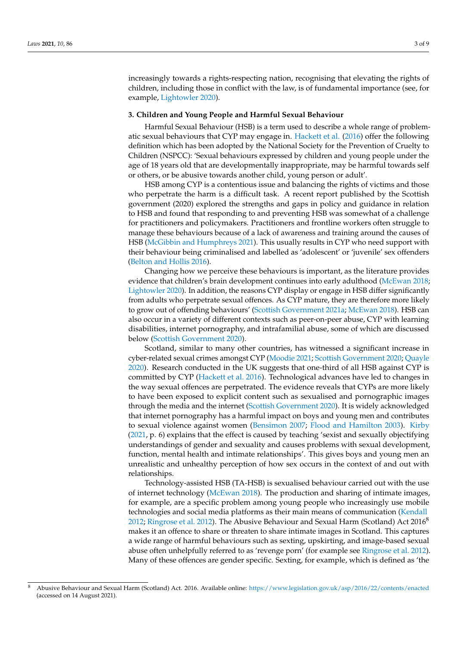increasingly towards a rights-respecting nation, recognising that elevating the rights of children, including those in conflict with the law, is of fundamental importance (see, for example, [Lightowler](#page-7-6) [2020\)](#page-7-6).

#### **3. Children and Young People and Harmful Sexual Behaviour**

Harmful Sexual Behaviour (HSB) is a term used to describe a whole range of problematic sexual behaviours that CYP may engage in. [Hackett et al.](#page-7-7) [\(2016\)](#page-7-7) offer the following definition which has been adopted by the National Society for the Prevention of Cruelty to Children (NSPCC): 'Sexual behaviours expressed by children and young people under the age of 18 years old that are developmentally inappropriate, may be harmful towards self or others, or be abusive towards another child, young person or adult'.

HSB among CYP is a contentious issue and balancing the rights of victims and those who perpetrate the harm is a difficult task. A recent report published by the Scottish government (2020) explored the strengths and gaps in policy and guidance in relation to HSB and found that responding to and preventing HSB was somewhat of a challenge for practitioners and policymakers. Practitioners and frontline workers often struggle to manage these behaviours because of a lack of awareness and training around the causes of HSB [\(McGibbin and Humphreys](#page-7-0) [2021\)](#page-7-0). This usually results in CYP who need support with their behaviour being criminalised and labelled as 'adolescent' or 'juvenile' sex offenders [\(Belton and Hollis](#page-6-1) [2016\)](#page-6-1).

Changing how we perceive these behaviours is important, as the literature provides evidence that children's brain development continues into early adulthood [\(McEwan](#page-7-8) [2018;](#page-7-8) [Lightowler](#page-7-6) [2020\)](#page-7-6). In addition, the reasons CYP display or engage in HSB differ significantly from adults who perpetrate sexual offences. As CYP mature, they are therefore more likely to grow out of offending behaviours' [\(Scottish Government](#page-8-3) [2021a;](#page-8-3) [McEwan](#page-7-8) [2018\)](#page-7-8). HSB can also occur in a variety of different contexts such as peer-on-peer abuse, CYP with learning disabilities, internet pornography, and intrafamilial abuse, some of which are discussed below [\(Scottish Government](#page-8-5) [2020\)](#page-8-5).

Scotland, similar to many other countries, has witnessed a significant increase in cyber-related sexual crimes amongst CYP [\(Moodie](#page-8-6) [2021;](#page-8-6) [Scottish Government](#page-8-5) [2020;](#page-8-5) [Quayle](#page-8-7) [2020\)](#page-8-7). Research conducted in the UK suggests that one-third of all HSB against CYP is committed by CYP [\(Hackett et al.](#page-7-7) [2016\)](#page-7-7). Technological advances have led to changes in the way sexual offences are perpetrated. The evidence reveals that CYPs are more likely to have been exposed to explicit content such as sexualised and pornographic images through the media and the internet [\(Scottish Government](#page-8-5) [2020\)](#page-8-5). It is widely acknowledged that internet pornography has a harmful impact on boys and young men and contributes to sexual violence against women [\(Bensimon](#page-6-2) [2007;](#page-6-2) [Flood and Hamilton](#page-7-9) [2003\)](#page-7-9). [Kirby](#page-7-10) [\(2021,](#page-7-10) p. 6) explains that the effect is caused by teaching 'sexist and sexually objectifying understandings of gender and sexuality and causes problems with sexual development, function, mental health and intimate relationships'. This gives boys and young men an unrealistic and unhealthy perception of how sex occurs in the context of and out with relationships.

Technology-assisted HSB (TA-HSB) is sexualised behaviour carried out with the use of internet technology [\(McEwan](#page-7-8) [2018\)](#page-7-8). The production and sharing of intimate images, for example, are a specific problem among young people who increasingly use mobile technologies and social media platforms as their main means of communication [\(Kendall](#page-7-11) [2012;](#page-7-11) [Ringrose et al.](#page-8-8) [2012\)](#page-8-8). The Abusive Behaviour and Sexual Harm (Scotland) Act  $2016^8$  $2016^8$ makes it an offence to share or threaten to share intimate images in Scotland. This captures a wide range of harmful behaviours such as sexting, upskirting, and image-based sexual abuse often unhelpfully referred to as 'revenge porn' (for example see [Ringrose et al.](#page-8-8) [2012\)](#page-8-8). Many of these offences are gender specific. Sexting, for example, which is defined as 'the

<sup>8</sup> Abusive Behaviour and Sexual Harm (Scotland) Act. 2016. Available online: <https://www.legislation.gov.uk/asp/2016/22/contents/enacted> (accessed on 14 August 2021).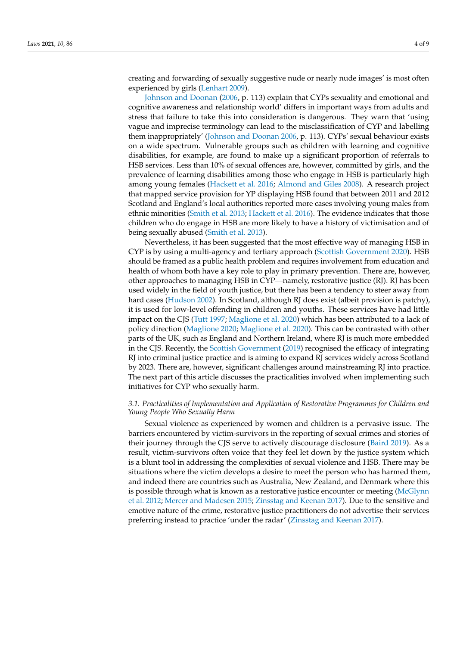creating and forwarding of sexually suggestive nude or nearly nude images' is most often experienced by girls [\(Lenhart](#page-7-12) [2009\)](#page-7-12).

[Johnson and Doonan](#page-7-13) [\(2006,](#page-7-13) p. 113) explain that CYPs sexuality and emotional and cognitive awareness and relationship world' differs in important ways from adults and stress that failure to take this into consideration is dangerous. They warn that 'using vague and imprecise terminology can lead to the misclassification of CYP and labelling them inappropriately' [\(Johnson and Doonan](#page-7-13) [2006,](#page-7-13) p. 113). CYPs' sexual behaviour exists on a wide spectrum. Vulnerable groups such as children with learning and cognitive disabilities, for example, are found to make up a significant proportion of referrals to HSB services. Less than 10% of sexual offences are, however, committed by girls, and the prevalence of learning disabilities among those who engage in HSB is particularly high among young females [\(Hackett et al.](#page-7-7) [2016;](#page-7-7) [Almond and Giles](#page-6-3) [2008\)](#page-6-3). A research project that mapped service provision for YP displaying HSB found that between 2011 and 2012 Scotland and England's local authorities reported more cases involving young males from ethnic minorities [\(Smith et al.](#page-8-9) [2013;](#page-8-9) [Hackett et al.](#page-7-7) [2016\)](#page-7-7). The evidence indicates that those children who do engage in HSB are more likely to have a history of victimisation and of being sexually abused [\(Smith et al.](#page-8-9) [2013\)](#page-8-9).

Nevertheless, it has been suggested that the most effective way of managing HSB in CYP is by using a multi-agency and tertiary approach [\(Scottish Government](#page-8-5) [2020\)](#page-8-5). HSB should be framed as a public health problem and requires involvement from education and health of whom both have a key role to play in primary prevention. There are, however, other approaches to managing HSB in CYP—namely, restorative justice (RJ). RJ has been used widely in the field of youth justice, but there has been a tendency to steer away from hard cases [\(Hudson](#page-7-14) [2002\)](#page-7-14). In Scotland, although RJ does exist (albeit provision is patchy), it is used for low-level offending in children and youths. These services have had little impact on the CJS [\(Tutt](#page-8-10) [1997;](#page-8-10) [Maglione et al.](#page-7-15) [2020\)](#page-7-15) which has been attributed to a lack of policy direction [\(Maglione](#page-7-16) [2020;](#page-7-16) [Maglione et al.](#page-7-15) [2020\)](#page-7-15). This can be contrasted with other parts of the UK, such as England and Northern Ireland, where RJ is much more embedded in the CJS. Recently, the [Scottish Government](#page-8-11) [\(2019\)](#page-8-11) recognised the efficacy of integrating RJ into criminal justice practice and is aiming to expand RJ services widely across Scotland by 2023. There are, however, significant challenges around mainstreaming RJ into practice. The next part of this article discusses the practicalities involved when implementing such initiatives for CYP who sexually harm.

# *3.1. Practicalities of Implementation and Application of Restorative Programmes for Children and Young People Who Sexually Harm*

Sexual violence as experienced by women and children is a pervasive issue. The barriers encountered by victim-survivors in the reporting of sexual crimes and stories of their journey through the CJS serve to actively discourage disclosure [\(Baird](#page-6-4) [2019\)](#page-6-4). As a result, victim-survivors often voice that they feel let down by the justice system which is a blunt tool in addressing the complexities of sexual violence and HSB. There may be situations where the victim develops a desire to meet the person who has harmed them, and indeed there are countries such as Australia, New Zealand, and Denmark where this is possible through what is known as a restorative justice encounter or meeting [\(McGlynn](#page-8-12) [et al.](#page-8-12) [2012;](#page-8-12) [Mercer and Madesen](#page-8-13) [2015;](#page-8-13) [Zinsstag and Keenan](#page-8-14) [2017\)](#page-8-14). Due to the sensitive and emotive nature of the crime, restorative justice practitioners do not advertise their services preferring instead to practice 'under the radar' [\(Zinsstag and Keenan](#page-8-14) [2017\)](#page-8-14).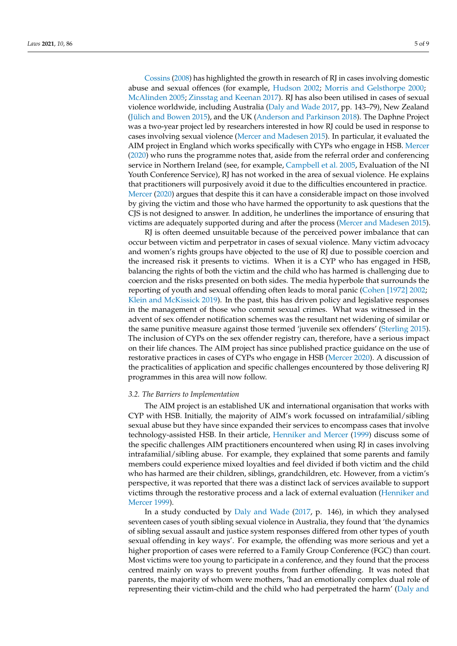[Cossins](#page-7-17) [\(2008\)](#page-7-17) has highlighted the growth in research of RJ in cases involving domestic abuse and sexual offences (for example, [Hudson](#page-7-14) [2002;](#page-7-14) [Morris and Gelsthorpe](#page-8-15) [2000;](#page-8-15) [McAlinden](#page-7-18) [2005;](#page-7-18) [Zinsstag and Keenan](#page-8-14) [2017\)](#page-8-14). RJ has also been utilised in cases of sexual violence worldwide, including Australia [\(Daly and Wade](#page-7-19) [2017,](#page-7-19) pp. 143–79), New Zealand [\(Jülich and Bowen](#page-7-20) [2015\)](#page-7-20), and the UK [\(Anderson and Parkinson](#page-6-0) [2018\)](#page-6-0). The Daphne Project was a two-year project led by researchers interested in how RJ could be used in response to cases involving sexual violence [\(Mercer and Madesen](#page-8-13) [2015\)](#page-8-13). In particular, it evaluated the AIM project in England which works specifically with CYPs who engage in HSB. [Mercer](#page-8-16) [\(2020\)](#page-8-16) who runs the programme notes that, aside from the referral order and conferencing service in Northern Ireland (see, for example, [Campbell et al.](#page-7-21) [2005,](#page-7-21) Evaluation of the NI Youth Conference Service), RJ has not worked in the area of sexual violence. He explains that practitioners will purposively avoid it due to the difficulties encountered in practice. [Mercer](#page-8-16) [\(2020\)](#page-8-16) argues that despite this it can have a considerable impact on those involved by giving the victim and those who have harmed the opportunity to ask questions that the CJS is not designed to answer. In addition, he underlines the importance of ensuring that victims are adequately supported during and after the process [\(Mercer and Madesen](#page-8-13) [2015\)](#page-8-13).

RJ is often deemed unsuitable because of the perceived power imbalance that can occur between victim and perpetrator in cases of sexual violence. Many victim advocacy and women's rights groups have objected to the use of RJ due to possible coercion and the increased risk it presents to victims. When it is a CYP who has engaged in HSB, balancing the rights of both the victim and the child who has harmed is challenging due to coercion and the risks presented on both sides. The media hyperbole that surrounds the reporting of youth and sexual offending often leads to moral panic [\(Cohen \[1972\]](#page-7-22) [2002;](#page-7-22) [Klein and McKissick](#page-7-23) [2019\)](#page-7-23). In the past, this has driven policy and legislative responses in the management of those who commit sexual crimes. What was witnessed in the advent of sex offender notification schemes was the resultant net widening of similar or the same punitive measure against those termed 'juvenile sex offenders' [\(Sterling](#page-8-17) [2015\)](#page-8-17). The inclusion of CYPs on the sex offender registry can, therefore, have a serious impact on their life chances. The AIM project has since published practice guidance on the use of restorative practices in cases of CYPs who engage in HSB [\(Mercer](#page-8-16) [2020\)](#page-8-16). A discussion of the practicalities of application and specific challenges encountered by those delivering RJ programmes in this area will now follow.

#### *3.2. The Barriers to Implementation*

The AIM project is an established UK and international organisation that works with CYP with HSB. Initially, the majority of AIM's work focussed on intrafamilial/sibling sexual abuse but they have since expanded their services to encompass cases that involve technology-assisted HSB. In their article, [Henniker and Mercer](#page-7-24) [\(1999\)](#page-7-24) discuss some of the specific challenges AIM practitioners encountered when using RJ in cases involving intrafamilial/sibling abuse. For example, they explained that some parents and family members could experience mixed loyalties and feel divided if both victim and the child who has harmed are their children, siblings, grandchildren, etc. However, from a victim's perspective, it was reported that there was a distinct lack of services available to support victims through the restorative process and a lack of external evaluation [\(Henniker and](#page-7-24) [Mercer](#page-7-24) [1999\)](#page-7-24).

In a study conducted by [Daly and Wade](#page-7-19) [\(2017,](#page-8-14) p. 146), in which they analysed seventeen cases of youth sibling sexual violence in Australia, they found that 'the dynamics of sibling sexual assault and justice system responses differed from other types of youth sexual offending in key ways'. For example, the offending was more serious and yet a higher proportion of cases were referred to a Family Group Conference (FGC) than court. Most victims were too young to participate in a conference, and they found that the process centred mainly on ways to prevent youths from further offending. It was noted that parents, the majority of whom were mothers, 'had an emotionally complex dual role of representing their victim-child and the child who had perpetrated the harm' [\(Daly and](#page-7-19)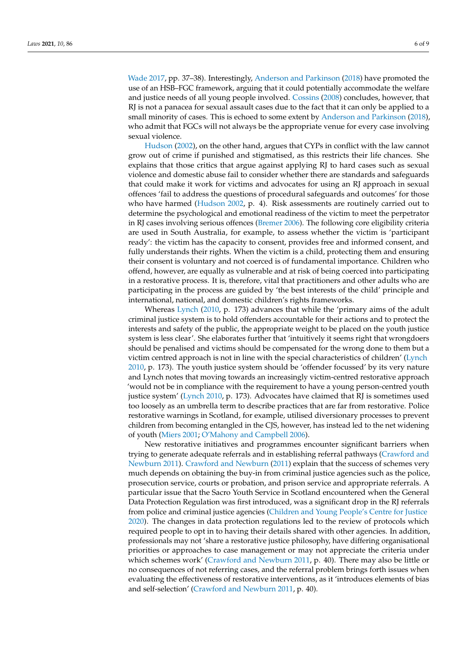[Wade](#page-7-19) [2017,](#page-7-19) pp. 37–38). Interestingly, [Anderson and Parkinson](#page-6-0) [\(2018\)](#page-6-0) have promoted the use of an HSB–FGC framework, arguing that it could potentially accommodate the welfare and justice needs of all young people involved. [Cossins](#page-7-17) [\(2008\)](#page-7-17) concludes, however, that RJ is not a panacea for sexual assault cases due to the fact that it can only be applied to a small minority of cases. This is echoed to some extent by [Anderson and Parkinson](#page-6-0) [\(2018\)](#page-6-0), who admit that FGCs will not always be the appropriate venue for every case involving sexual violence.

[Hudson](#page-7-14) [\(2002\)](#page-7-14), on the other hand, argues that CYPs in conflict with the law cannot grow out of crime if punished and stigmatised, as this restricts their life chances. She explains that those critics that argue against applying RJ to hard cases such as sexual violence and domestic abuse fail to consider whether there are standards and safeguards that could make it work for victims and advocates for using an RJ approach in sexual offences 'fail to address the questions of procedural safeguards and outcomes' for those who have harmed [\(Hudson](#page-7-14) [2002,](#page-7-14) p. 4). Risk assessments are routinely carried out to determine the psychological and emotional readiness of the victim to meet the perpetrator in RJ cases involving serious offences [\(Bremer](#page-6-5) [2006\)](#page-6-5). The following core eligibility criteria are used in South Australia, for example, to assess whether the victim is 'participant ready': the victim has the capacity to consent, provides free and informed consent, and fully understands their rights. When the victim is a child, protecting them and ensuring their consent is voluntary and not coerced is of fundamental importance. Children who offend, however, are equally as vulnerable and at risk of being coerced into participating in a restorative process. It is, therefore, vital that practitioners and other adults who are participating in the process are guided by 'the best interests of the child' principle and international, national, and domestic children's rights frameworks.

Whereas [Lynch](#page-7-25) [\(2010,](#page-7-25) p. 173) advances that while the 'primary aims of the adult criminal justice system is to hold offenders accountable for their actions and to protect the interests and safety of the public, the appropriate weight to be placed on the youth justice system is less clear'. She elaborates further that 'intuitively it seems right that wrongdoers should be penalised and victims should be compensated for the wrong done to them but a victim centred approach is not in line with the special characteristics of children' [\(Lynch](#page-7-25) [2010,](#page-7-25) p. 173). The youth justice system should be 'offender focussed' by its very nature and Lynch notes that moving towards an increasingly victim-centred restorative approach 'would not be in compliance with the requirement to have a young person-centred youth justice system' [\(Lynch](#page-7-25) [2010,](#page-7-25) p. 173). Advocates have claimed that RJ is sometimes used too loosely as an umbrella term to describe practices that are far from restorative. Police restorative warnings in Scotland, for example, utilised diversionary processes to prevent children from becoming entangled in the CJS, however, has instead led to the net widening of youth [\(Miers](#page-8-18) [2001;](#page-8-18) [O'Mahony and Campbell](#page-8-19) [2006\)](#page-8-19).

New restorative initiatives and programmes encounter significant barriers when trying to generate adequate referrals and in establishing referral pathways [\(Crawford and](#page-7-26) [Newburn](#page-7-26) [2011\)](#page-7-26). [Crawford and Newburn](#page-7-26) [\(2011\)](#page-7-26) explain that the success of schemes very much depends on obtaining the buy-in from criminal justice agencies such as the police, prosecution service, courts or probation, and prison service and appropriate referrals. A particular issue that the Sacro Youth Service in Scotland encountered when the General Data Protection Regulation was first introduced, was a significant drop in the RJ referrals from police and criminal justice agencies [\(Children and Young People's Centre for Justice](#page-7-27) [2020\)](#page-7-27). The changes in data protection regulations led to the review of protocols which required people to opt in to having their details shared with other agencies. In addition, professionals may not 'share a restorative justice philosophy, have differing organisational priorities or approaches to case management or may not appreciate the criteria under which schemes work' [\(Crawford and Newburn](#page-7-26) [2011,](#page-7-26) p. 40). There may also be little or no consequences of not referring cases, and the referral problem brings forth issues when evaluating the effectiveness of restorative interventions, as it 'introduces elements of bias and self-selection' [\(Crawford and Newburn](#page-7-26) [2011,](#page-7-26) p. 40).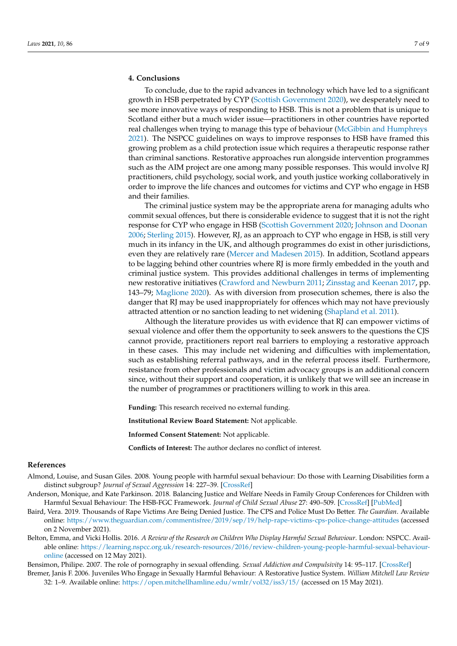### **4. Conclusions**

To conclude, due to the rapid advances in technology which have led to a significant growth in HSB perpetrated by CYP [\(Scottish Government](#page-8-5) [2020\)](#page-8-5), we desperately need to see more innovative ways of responding to HSB. This is not a problem that is unique to Scotland either but a much wider issue—practitioners in other countries have reported real challenges when trying to manage this type of behaviour [\(McGibbin and Humphreys](#page-7-0) [2021\)](#page-7-0). The NSPCC guidelines on ways to improve responses to HSB have framed this growing problem as a child protection issue which requires a therapeutic response rather than criminal sanctions. Restorative approaches run alongside intervention programmes such as the AIM project are one among many possible responses. This would involve RJ practitioners, child psychology, social work, and youth justice working collaboratively in order to improve the life chances and outcomes for victims and CYP who engage in HSB and their families.

The criminal justice system may be the appropriate arena for managing adults who commit sexual offences, but there is considerable evidence to suggest that it is not the right response for CYP who engage in HSB [\(Scottish Government](#page-8-5) [2020;](#page-8-5) [Johnson and Doonan](#page-7-13) [2006;](#page-7-13) [Sterling](#page-8-17) [2015\)](#page-8-17). However, RJ, as an approach to CYP who engage in HSB, is still very much in its infancy in the UK, and although programmes do exist in other jurisdictions, even they are relatively rare [\(Mercer and Madesen](#page-8-13) [2015\)](#page-8-13). In addition, Scotland appears to be lagging behind other countries where RJ is more firmly embedded in the youth and criminal justice system. This provides additional challenges in terms of implementing new restorative initiatives [\(Crawford and Newburn](#page-7-26) [2011;](#page-7-26) [Zinsstag and Keenan](#page-8-14) [2017,](#page-8-14) pp. 143–79; [Maglione](#page-7-16) [2020\)](#page-7-16). As with diversion from prosecution schemes, there is also the danger that RJ may be used inappropriately for offences which may not have previously attracted attention or no sanction leading to net widening [\(Shapland et al.](#page-8-20) [2011\)](#page-8-20).

Although the literature provides us with evidence that RJ can empower victims of sexual violence and offer them the opportunity to seek answers to the questions the CJS cannot provide, practitioners report real barriers to employing a restorative approach in these cases. This may include net widening and difficulties with implementation, such as establishing referral pathways, and in the referral process itself. Furthermore, resistance from other professionals and victim advocacy groups is an additional concern since, without their support and cooperation, it is unlikely that we will see an increase in the number of programmes or practitioners willing to work in this area.

**Funding:** This research received no external funding.

**Institutional Review Board Statement:** Not applicable.

**Informed Consent Statement:** Not applicable.

**Conflicts of Interest:** The author declares no conflict of interest.

#### **References**

- <span id="page-6-3"></span>Almond, Louise, and Susan Giles. 2008. Young people with harmful sexual behaviour: Do those with Learning Disabilities form a distinct subgroup? *Journal of Sexual Aggression* 14: 227–39. [\[CrossRef\]](http://doi.org/10.1080/13552600802304909)
- <span id="page-6-0"></span>Anderson, Monique, and Kate Parkinson. 2018. Balancing Justice and Welfare Needs in Family Group Conferences for Children with Harmful Sexual Behaviour: The HSB-FGC Framework. *Journal of Child Sexual Abuse* 27: 490–509. [\[CrossRef\]](http://doi.org/10.1080/10538712.2018.1477217) [\[PubMed\]](http://www.ncbi.nlm.nih.gov/pubmed/29893632)
- <span id="page-6-4"></span>Baird, Vera. 2019. Thousands of Rape Victims Are Being Denied Justice. The CPS and Police Must Do Better. *The Guardian*. Available online: <https://www.theguardian.com/commentisfree/2019/sep/19/help-rape-victims-cps-police-change-attitudes> (accessed on 2 November 2021).
- <span id="page-6-1"></span>Belton, Emma, and Vicki Hollis. 2016. *A Review of the Research on Children Who Display Harmful Sexual Behaviour*. London: NSPCC. Available online: [https://learning.nspcc.org.uk/research-resources/2016/review-children-young-people-harmful-sexual-behaviour](https://learning.nspcc.org.uk/research-resources/2016/review-children-young-people-harmful-sexual-behaviour-online)[online](https://learning.nspcc.org.uk/research-resources/2016/review-children-young-people-harmful-sexual-behaviour-online) (accessed on 12 May 2021).

<span id="page-6-5"></span><span id="page-6-2"></span>Bensimon, Philipe. 2007. The role of pornography in sexual offending. *Sexual Addiction and Compulsivity* 14: 95–117. [\[CrossRef\]](http://doi.org/10.1080/10720160701310468)

Bremer, Janis F. 2006. Juveniles Who Engage in Sexually Harmful Behaviour: A Restorative Justice System. *William Mitchell Law Review* 32: 1–9. Available online: <https://open.mitchellhamline.edu/wmlr/vol32/iss3/15/> (accessed on 15 May 2021).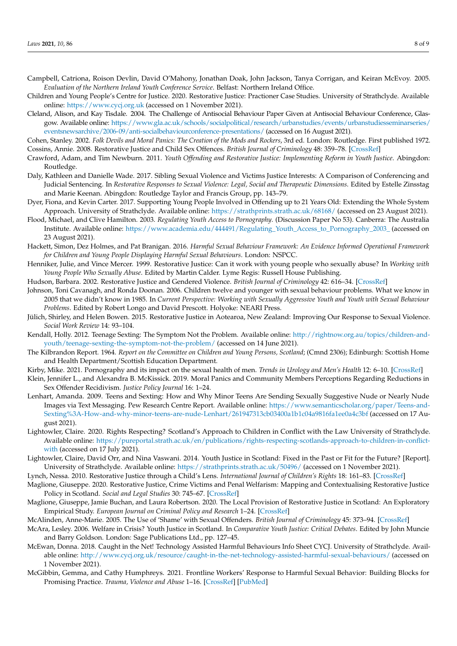- <span id="page-7-21"></span>Campbell, Catriona, Roison Devlin, David O'Mahony, Jonathan Doak, John Jackson, Tanya Corrigan, and Keiran McEvoy. 2005. *Evaluation of the Northern Ireland Youth Conference Service*. Belfast: Northern Ireland Office.
- <span id="page-7-27"></span>Children and Young People's Centre for Justice. 2020. Restorative Justice: Practioner Case Studies. University of Strathclyde. Available online: <https://www.cycj.org.uk> (accessed on 1 November 2021).
- <span id="page-7-4"></span>Cleland, Alison, and Kay Tisdale. 2004. The Challenge of Antisocial Behaviour Paper Given at Antisocial Behaviour Conference, Glasgow. Available online: [https://www.gla.ac.uk/schools/socialpolitical/research/urbanstudies/events/urbanstudiesseminarseries/](https://www.gla.ac.uk/schools/socialpolitical/research/urbanstudies/events/urbanstudiesseminarseries/eventsnewsarchive/2006-09/anti-socialbehaviourconference-presentations/) [eventsnewsarchive/2006-09/anti-socialbehaviourconference-presentations/](https://www.gla.ac.uk/schools/socialpolitical/research/urbanstudies/events/urbanstudiesseminarseries/eventsnewsarchive/2006-09/anti-socialbehaviourconference-presentations/) (accessed on 16 August 2021).

<span id="page-7-22"></span><span id="page-7-17"></span>Cohen, Stanley. 2002. *Folk Devils and Moral Panics: The Creation of the Mods and Rockers*, 3rd ed. London: Routledge. First published 1972. Cossins, Annie. 2008. Restorative Justice and Child Sex Offences. *British Journal of Criminology* 48: 359–78. [\[CrossRef\]](http://doi.org/10.1093/bjc/azn013)

- <span id="page-7-26"></span>Crawford, Adam, and Tim Newburn. 2011. *Youth Offending and Restorative Justice: Implementing Reform in Youth Justice*. Abingdon: Routledge.
- <span id="page-7-19"></span>Daly, Kathleen and Danielle Wade. 2017. Sibling Sexual Violence and Victims Justice Interests: A Comparison of Conferencing and Judicial Sentencing. In *Restorative Responses to Sexual Violence: Legal, Social and Therapeutic Dimensions*. Edited by Estelle Zinsstag and Marie Keenan. Abingdon: Routledge Taylor and Francis Group, pp. 143–79.
- <span id="page-7-5"></span>Dyer, Fiona, and Kevin Carter. 2017. Supporting Young People Involved in Offending up to 21 Years Old: Extending the Whole System Approach. University of Strathclyde. Available online: <https://strathprints.strath.ac.uk/68168/> (accessed on 23 August 2021).
- <span id="page-7-9"></span>Flood, Michael, and Clive Hamilton. 2003. *Regulating Youth Access to Pornography*. (Discussion Paper No 53). Canberra: The Australia Institute. Available online: [https://www.academia.edu/444491/Regulating\\_Youth\\_Access\\_to\\_Pornography\\_2003\\_](https://www.academia.edu/444491/Regulating_Youth_Access_to_Pornography_2003_) (accessed on 23 August 2021).
- <span id="page-7-7"></span>Hackett, Simon, Dez Holmes, and Pat Branigan. 2016. *Harmful Sexual Behaviour Framework: An Evidence Informed Operational Framework for Children and Young People Displaying Harmful Sexual Behaviours*. London: NSPCC.
- <span id="page-7-24"></span>Henniker, Julie, and Vince Mercer. 1999. Restorative Justice: Can it work with young people who sexually abuse? In *Working with Young People Who Sexually Abuse*. Edited by Martin Calder. Lyme Regis: Russell House Publishing.
- <span id="page-7-14"></span>Hudson, Barbara. 2002. Restorative Justice and Gendered Violence. *British Journal of Criminology* 42: 616–34. [\[CrossRef\]](http://doi.org/10.1093/bjc/42.3.616)
- <span id="page-7-13"></span>Johnson, Toni Cavanagh, and Ronda Doonan. 2006. Children twelve and younger with sexual behaviour problems. What we know in 2005 that we didn't know in 1985. In *Current Perspective: Working with Sexually Aggressive Youth and Youth with Sexual Behaviour Problems*. Edited by Robert Longo and David Prescott. Holyoke: NEARI Press.
- <span id="page-7-20"></span>Jülich, Shirley, and Helen Bowen. 2015. Restorative Justice in Aotearoa, New Zealand: Improving Our Response to Sexual Violence. *Social Work Review* 14: 93–104.
- <span id="page-7-11"></span>Kendall, Holly. 2012. Teenage Sexting: The Symptom Not the Problem. Available online: [http://rightnow.org.au/topics/children-and](http://rightnow.org.au/topics/children-and-youth/teenage-sexting-the-symptom-not-the-problem/)[youth/teenage-sexting-the-symptom-not-the-problem/](http://rightnow.org.au/topics/children-and-youth/teenage-sexting-the-symptom-not-the-problem/) (accessed on 14 June 2021).
- <span id="page-7-1"></span>The Kilbrandon Report. 1964. *Report on the Committee on Children and Young Persons, Scotland*; (Cmnd 2306); Edinburgh: Scottish Home and Health Department/Scottish Education Department.
- <span id="page-7-23"></span><span id="page-7-10"></span>Kirby, Mike. 2021. Pornography and its impact on the sexual health of men. *Trends in Urology and Men's Health* 12: 6–10. [\[CrossRef\]](http://doi.org/10.1002/tre.791)
- Klein, Jennifer L., and Alexandra B. McKissick. 2019. Moral Panics and Community Members Perceptions Regarding Reductions in Sex Offender Recidivism. *Justice Policy Journal* 16: 1–24.
- <span id="page-7-12"></span>Lenhart, Amanda. 2009. Teens and Sexting: How and Why Minor Teens Are Sending Sexually Suggestive Nude or Nearly Nude Images via Text Messaging. Pew Research Centre Report. Available online: [https://www.semanticscholar.org/paper/Teens-and-](https://www.semanticscholar.org/paper/Teens-and-Sexting%3A-How-and-why-minor-teens-are-nude-Lenhart/261947313cb03400a1b1c04a9816fa1ee0a4c3bf)[Sexting%3A-How-and-why-minor-teens-are-nude-Lenhart/261947313cb03400a1b1c04a9816fa1ee0a4c3bf](https://www.semanticscholar.org/paper/Teens-and-Sexting%3A-How-and-why-minor-teens-are-nude-Lenhart/261947313cb03400a1b1c04a9816fa1ee0a4c3bf) (accessed on 17 August 2021).
- <span id="page-7-6"></span>Lightowler, Claire. 2020. Rights Respecting? Scotland's Approach to Children in Conflict with the Law University of Strathclyde. Available online: [https://pureportal.strath.ac.uk/en/publications/rights-respecting-scotlands-approach-to-children-in-conflict](https://pureportal.strath.ac.uk/en/publications/rights-respecting-scotlands-approach-to-children-in-conflict-with)[with](https://pureportal.strath.ac.uk/en/publications/rights-respecting-scotlands-approach-to-children-in-conflict-with) (accessed on 17 July 2021).
- <span id="page-7-2"></span>Lightowler, Claire, David Orr, and Nina Vaswani. 2014. Youth Justice in Scotland: Fixed in the Past or Fit for the Future? [Report]. University of Strathclyde. Available online: <https://strathprints.strath.ac.uk/50496/> (accessed on 1 November 2021).
- <span id="page-7-25"></span>Lynch, Nessa. 2010. Restorative Justice through a Child's Lens. *International Journal of Children's Rights* 18: 161–83. [\[CrossRef\]](http://doi.org/10.1163/157181810X12592206285646)
- <span id="page-7-16"></span>Maglione, Giuseppe. 2020. Restorative Justice, Crime Victims and Penal Welfarism: Mapping and Contextualising Restorative Justice Policy in Scotland. *Social and Legal Studies* 30: 745–67. [\[CrossRef\]](http://doi.org/10.1177/0964663920965669)
- <span id="page-7-15"></span>Maglione, Giuseppe, Jamie Buchan, and Laura Robertson. 2020. The Local Provision of Restorative Justice in Scotland: An Exploratory Empirical Study. *European Journal on Criminal Policy and Research* 1–24. [\[CrossRef\]](http://doi.org/10.1007/s10610-020-09470-3)
- <span id="page-7-18"></span>McAlinden, Anne-Marie. 2005. The Use of 'Shame' with Sexual Offenders. *British Journal of Criminology* 45: 373–94. [\[CrossRef\]](http://doi.org/10.1093/bjc/azh095)
- <span id="page-7-3"></span>McAra, Lesley. 2006. Welfare in Crisis? Youth Justice in Scotland. In *Comparative Youth Justice: Critical Debates*. Edited by John Muncie and Barry Goldson. London: Sage Publications Ltd., pp. 127–45.
- <span id="page-7-8"></span>McEwan, Donna. 2018. Caught in the Net! Technology Assisted Harmful Behaviours Info Sheet CYCJ. University of Strathclyde. Available online: <http://www.cycj.org.uk/resource/caught-in-the-net-technology-assisted-harmful-sexual-behaviours/> (accessed on 1 November 2021).
- <span id="page-7-0"></span>McGibbin, Gemma, and Cathy Humphreys. 2021. Frontline Workers' Response to Harmful Sexual Behavior: Building Blocks for Promising Practice. *Trauma, Violence and Abuse* 1–16. [\[CrossRef\]](http://doi.org/10.1177/15248380211036077) [\[PubMed\]](http://www.ncbi.nlm.nih.gov/pubmed/34396858)